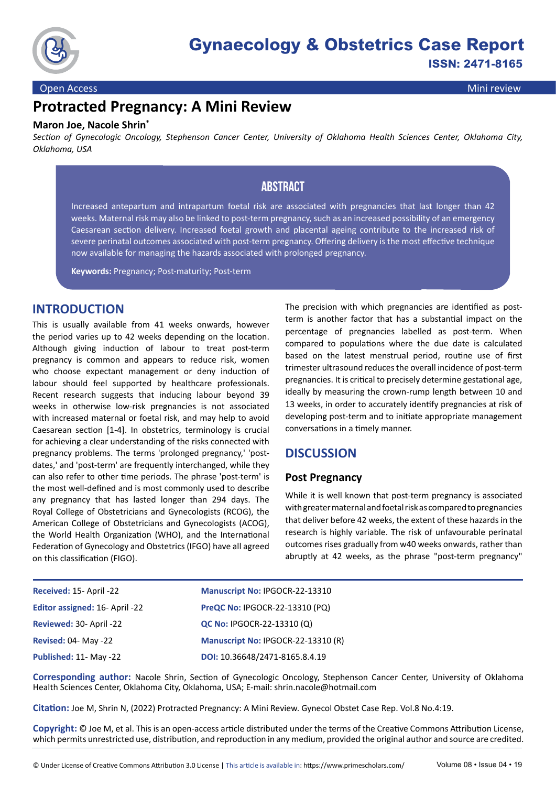

#### Open Access Mini review

# **Protracted Pregnancy: A Mini Review**

#### **Maron Joe, Nacole Shrin\***

*Section of Gynecologic Oncology, Stephenson Cancer Center, University of Oklahoma Health Sciences Center, Oklahoma City, Oklahoma, USA*

### **Abstract**

Increased antepartum and intrapartum foetal risk are associated with pregnancies that last longer than 42 weeks. Maternal risk may also be linked to post-term pregnancy, such as an increased possibility of an emergency Caesarean section delivery. Increased foetal growth and placental ageing contribute to the increased risk of severe perinatal outcomes associated with post-term pregnancy. Offering delivery is the most effective technique now available for managing the hazards associated with prolonged pregnancy.

**Keywords:** Pregnancy; Post-maturity; Post-term

#### **INTRODUCTION**

This is usually available from 41 weeks onwards, however the period varies up to 42 weeks depending on the location. Although giving induction of labour to treat post-term pregnancy is common and appears to reduce risk, women who choose expectant management or deny induction of labour should feel supported by healthcare professionals. Recent research suggests that inducing labour beyond 39 weeks in otherwise low-risk pregnancies is not associated with increased maternal or foetal risk, and may help to avoid Caesarean section [1-4]. In obstetrics, terminology is crucial for achieving a clear understanding of the risks connected with pregnancy problems. The terms 'prolonged pregnancy,' 'postdates,' and 'post-term' are frequently interchanged, while they can also refer to other time periods. The phrase 'post-term' is the most well-defined and is most commonly used to describe any pregnancy that has lasted longer than 294 days. The Royal College of Obstetricians and Gynecologists (RCOG), the American College of Obstetricians and Gynecologists (ACOG), the World Health Organization (WHO), and the International Federation of Gynecology and Obstetrics (IFGO) have all agreed on this classification (FIGO).

The precision with which pregnancies are identified as postterm is another factor that has a substantial impact on the percentage of pregnancies labelled as post-term. When compared to populations where the due date is calculated based on the latest menstrual period, routine use of first trimester ultrasound reduces the overall incidence of post-term pregnancies. It is critical to precisely determine gestational age, ideally by measuring the crown-rump length between 10 and 13 weeks, in order to accurately identify pregnancies at risk of developing post-term and to initiate appropriate management conversations in a timely manner.

#### **DISCUSSION**

#### **Post Pregnancy**

While it is well known that post-term pregnancy is associated with greater maternal and foetal risk as compared to pregnancies that deliver before 42 weeks, the extent of these hazards in the research is highly variable. The risk of unfavourable perinatal outcomes rises gradually from w40 weeks onwards, rather than abruptly at 42 weeks, as the phrase "post-term pregnancy"

| Received: 15- April -22        | Manuscript No: IPGOCR-22-13310     |
|--------------------------------|------------------------------------|
| Editor assigned: 16- April -22 | PreQC No: IPGOCR-22-13310 (PQ)     |
| Reviewed: 30- April -22        | QC No: IPGOCR-22-13310 (Q)         |
| <b>Revised: 04- May -22</b>    | Manuscript No: IPGOCR-22-13310 (R) |
| Published: 11- May -22         | DOI: 10.36648/2471-8165.8.4.19     |

**Corresponding author:** Nacole Shrin, Section of Gynecologic Oncology, Stephenson Cancer Center, University of Oklahoma Health Sciences Center, Oklahoma City, Oklahoma, USA; E-mail: [shrin.nacole@hotmail.com](mailto:shrin.nacole@hotmail.com )

**Citation:** Joe M, Shrin N, (2022) Protracted Pregnancy: A Mini Review. Gynecol Obstet Case Rep. Vol.8 No.4:19.

**Copyright:** © Joe M, et al. This is an open-access article distributed under the terms of the Creative Commons Attribution License, which permits unrestricted use, distribution, and reproduction in any medium, provided the original author and source are credited.